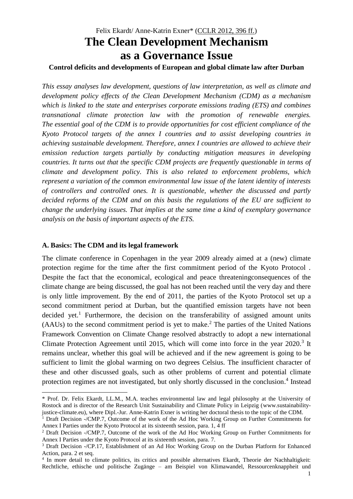# Felix Ekardt/ Anne-Katrin Exner\* (CCLR 2012, 396 ff.) **The Clean Development Mechanism as a Governance Issue**

## **Control deficits and developments of European and global climate law after Durban**

*This essay analyses law development, questions of law interpretation, as well as climate and development policy effects of the Clean Development Mechanism (CDM) as a mechanism which is linked to the state and enterprises corporate emissions trading (ETS) and combines transnational climate protection law with the promotion of renewable energies. The essential goal of the CDM is to provide opportunities for cost efficient compliance of the Kyoto Protocol targets of the annex I countries and to assist developing countries in achieving sustainable development. Therefore, annex I countries are allowed to achieve their emission reduction targets partially by conducting mitigation measures in developing countries. It turns out that the specific CDM projects are frequently questionable in terms of climate and development policy. This is also related to enforcement problems, which represent a variation of the common environmental law issue of the latent identity of interests of controllers and controlled ones. It is questionable, whether the discussed and partly decided reforms of the CDM and on this basis the regulations of the EU are sufficient to change the underlying issues. That implies at the same time a kind of exemplary governance analysis on the basis of important aspects of the ETS.*

#### **A. Basics: The CDM and its legal framework**

 $\overline{a}$ 

The climate conference in Copenhagen in the year 2009 already aimed at a (new) climate protection regime for the time after the first commitment period of the Kyoto Protocol . Despite the fact that the economical, ecological and peace threateningconsequences of the climate change are being discussed, the goal has not been reached until the very day and there is only little improvement. By the end of 2011, the parties of the Kyoto Protocol set up a second commitment period at Durban, but the quantified emission targets have not been decided yet.<sup>1</sup> Furthermore, the decision on the transferability of assigned amount units (AAUs) to the second commitment period is yet to make. <sup>2</sup> The parties of the United Nations Framework Convention on Climate Change resolved abstractly to adopt a new international Climate Protection Agreement until 2015, which will come into force in the year 2020.<sup>3</sup> It remains unclear, whether this goal will be achieved and if the new agreement is going to be sufficient to limit the global warming on two degrees Celsius. The insufficient character of these and other discussed goals, such as other problems of current and potential climate protection regimes are not investigated, but only shortly discussed in the conclusion. 4 Instead

<sup>\*</sup> Prof. Dr. Felix Ekardt, LL.M., M.A. teaches environmental law and legal philosophy at the University of Rostock and is director of the Research Unit Sustainability and Climate Policy in Leipzig (www.sustainabilityjustice-climate.eu), where Dipl.-Jur. Anne-Katrin Exner is writing her doctoral thesis to the topic of the CDM.

<sup>&</sup>lt;sup>1</sup> Draft Decision -/CMP.7, Outcome of the work of the Ad Hoc Working Group on Further Commitments for Annex I Parties under the Kyoto Protocol at its sixteenth session, para. 1, 4 ff

<sup>2</sup> Draft Decision -/CMP.7, Outcome of the work of the Ad Hoc Working Group on Further Commitments for Annex I Parties under the Kyoto Protocol at its sixteenth session, para. 7.

<sup>&</sup>lt;sup>3</sup> Draft Decision -/CP.17, Establishment of an Ad Hoc Working Group on the Durban Platform for Enhanced Action, para. 2 et seq.

<sup>4</sup> In more detail to climate politics, its critics and possible alternatives Ekardt, Theorie der Nachhaltigkeit: Rechtliche, ethische und politische Zugänge – am Beispiel von Klimawandel, Ressourcenknappheit und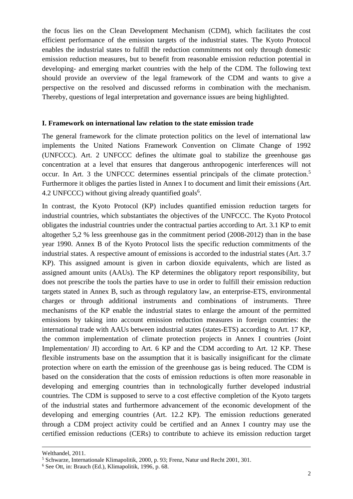the focus lies on the Clean Development Mechanism (CDM), which facilitates the cost efficient performance of the emission targets of the industrial states. The Kyoto Protocol enables the industrial states to fulfill the reduction commitments not only through domestic emission reduction measures, but to benefit from reasonable emission reduction potential in developing- and emerging market countries with the help of the CDM. The following text should provide an overview of the legal framework of the CDM and wants to give a perspective on the resolved and discussed reforms in combination with the mechanism. Thereby, questions of legal interpretation and governance issues are being highlighted.

#### **I. Framework on international law relation to the state emission trade**

The general framework for the climate protection politics on the level of international law implements the United Nations Framework Convention on Climate Change of 1992 (UNFCCC). Art. 2 UNFCCC defines the ultimate goal to stabilize the greenhouse gas concentration at a level that ensures that dangerous anthropogenic interferences will not occur. In Art. 3 the UNFCCC determines essential principals of the climate protection.<sup>5</sup> Furthermore it obliges the parties listed in Annex I to document and limit their emissions (Art. 4.2 UNFCCC) without giving already quantified goals $6$ .

In contrast, the Kyoto Protocol (KP) includes quantified emission reduction targets for industrial countries, which substantiates the objectives of the UNFCCC. The Kyoto Protocol obligates the industrial countries under the contractual parties according to Art. 3.1 KP to emit altogether 5,2 % less greenhouse gas in the commitment period (2008-2012) than in the base year 1990. Annex B of the Kyoto Protocol lists the specific reduction commitments of the industrial states. A respective amount of emissions is accorded to the industrial states (Art. 3.7 KP). This assigned amount is given in carbon dioxide equivalents, which are listed as assigned amount units (AAUs). The KP determines the obligatory report responsibility, but does not prescribe the tools the parties have to use in order to fulfill their emission reduction targets stated in Annex B, such as through regulatory law, an enterprise-ETS, environmental charges or through additional instruments and combinations of instruments. Three mechanisms of the KP enable the industrial states to enlarge the amount of the permitted emissions by taking into account emission reduction measures in foreign countries: the international trade with AAUs between industrial states (states-ETS) according to Art. 17 KP, the common implementation of climate protection projects in Annex I countries (Joint Implementation/ JI) according to Art. 6 KP and the CDM according to Art. 12 KP. These flexible instruments base on the assumption that it is basically insignificant for the climate protection where on earth the emission of the greenhouse gas is being reduced. The CDM is based on the consideration that the costs of emission reductions is often more reasonable in developing and emerging countries than in technologically further developed industrial countries. The CDM is supposed to serve to a cost effective completion of the Kyoto targets of the industrial states and furthermore advancement of the economic development of the developing and emerging countries (Art. 12.2 KP). The emission reductions generated through a CDM project activity could be certified and an Annex I country may use the certified emission reductions (CERs) to contribute to achieve its emission reduction target

Welthandel, 2011.

<sup>5</sup> Schwarze, Internationale Klimapolitik, 2000, p. 93; Frenz, Natur und Recht 2001, 301.

<sup>6</sup> See Ott, in: Brauch (Ed.), Klimapolitik, 1996, p. 68.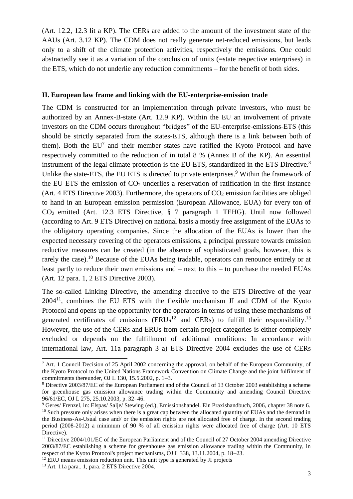(Art. 12.2, 12.3 lit a KP). The CERs are added to the amount of the investment state of the AAUs (Art. 3.12 KP). The CDM does not really generate net-reduced emissions, but leads only to a shift of the climate protection activities, respectively the emissions. One could abstractedly see it as a variation of the conclusion of units (=state respective enterprises) in the ETS, which do not underlie any reduction commitments – for the benefit of both sides.

# **II. European law frame and linking with the EU-enterprise-emission trade**

The CDM is constructed for an implementation through private investors, who must be authorized by an Annex-B-state (Art. 12.9 KP). Within the EU an involvement of private investors on the CDM occurs throughout "bridges" of the EU-enterprise-emissions-ETS (this should be strictly separated from the states-ETS, although there is a link between both of them). Both the  $EU<sup>7</sup>$  and their member states have ratified the Kyoto Protocol and have respectively committed to the reduction of in total 8 % (Annex B of the KP). An essential instrument of the legal climate protection is the EU ETS, standardized in the ETS Directive.<sup>8</sup> Unlike the state-ETS, the EU ETS is directed to private enterprises.<sup>9</sup> Within the framework of the EU ETS the emission of  $CO<sub>2</sub>$  underlies a reservation of ratification in the first instance (Art. 4 ETS Directive 2003). Furthermore, the operators of  $CO<sub>2</sub>$  emission facilities are obliged to hand in an European emission permission (European Allowance, EUA) for every ton of CO2 emitted (Art. 12.3 ETS Directive, § 7 paragraph 1 TEHG). Until now followed (according to Art. 9 ETS Directive) on national basis a mostly free assignment of the EUAs to the obligatory operating companies. Since the allocation of the EUAs is lower than the expected necessary covering of the operators emissions, a principal pressure towards emission reductive measures can be created (in the absence of sophisticated goals, however, this is rarely the case).<sup>10</sup> Because of the EUAs being tradable, operators can renounce entirely or at least partly to reduce their own emissions and – next to this – to purchase the needed EUAs (Art. 12 para. 1, 2 ETS Directive 2003).

The so-called Linking Directive, the amending directive to the ETS Directive of the year  $2004<sup>11</sup>$ , combines the EU ETS with the flexible mechanism JI and CDM of the Kyoto Protocol and opens up the opportunity for the operators in terms of using these mechanisms of generated certificates of emissions  $(ERUs^{12}$  and  $CERs)$  to fulfill their responsibility.<sup>13</sup> However, the use of the CERs and ERUs from certain project categories is either completely excluded or depends on the fulfillment of additional conditions: In accordance with international law, Art. 11a paragraph 3 a) ETS Directive 2004 excludes the use of CERs

 $7$  Art. 1 Council Decision of 25 April 2002 concerning the approval, on behalf of the European Community, of the Kyoto Protocol to the United Nations Framework Convention on Climate Change and the joint fulfilment of commitments thereunder, OJ L 130, 15.5.2002, p. 1–3.

<sup>8</sup> Directive 2003/87/EC of the European Parliament and of the Council of 13 October 2003 establishing a scheme for greenhouse gas emission allowance trading within the Community and amending Council Directive 96/61/EC, OJ L 275, 25.10.2003, p. 32–46.

<sup>9</sup> Geres/ Frenzel, in: Elspas/ Salje/ Stewing (ed.), Emissionshandel. Ein Praxishandbuch, 2006, chapter 38 note 6. <sup>10</sup> Such pressure only arises when there is a great cap between the allocated quantity of EUAs and the demand in the Business-As-Usual case and/ or the emission rights are not allocated free of charge. In the second trading period (2008-2012) a minimum of 90 % of all emission rights were allocated free of charge (Art. 10 ETS Directive).

<sup>&</sup>lt;sup>11</sup> Directive 2004/101/EC of the European Parliament and of the Council of 27 October 2004 amending Directive 2003/87/EC establishing a scheme for greenhouse gas emission allowance trading within the Community, in respect of the Kyoto Protocol's project mechanisms, OJ L 338, 13.11.2004, p. 18–23.

<sup>&</sup>lt;sup>12</sup> ERU means emission reduction unit. This unit type is generated by JI projects

<sup>13</sup> Art. 11a para.. 1, para. 2 ETS Directive 2004.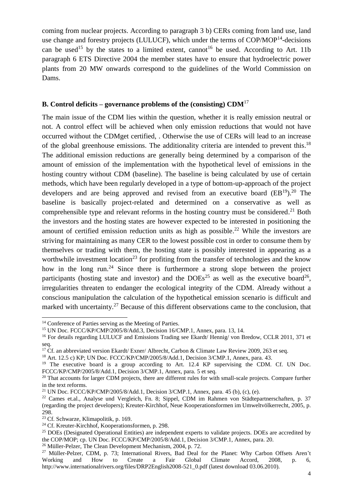coming from nuclear projects. According to paragraph 3 b) CERs coming from land use, land use change and forestry projects (LULUCF), which under the terms of COP/MOP<sup>14</sup>-decisions can be used<sup>15</sup> by the states to a limited extent, cannot<sup>16</sup> be used. According to Art. 11b paragraph 6 ETS Directive 2004 the member states have to ensure that hydroelectric power plants from 20 MW onwards correspond to the guidelines of the World Commission on Dams.

## **B. Control deficits – governance problems of the (consisting) CDM**<sup>17</sup>

The main issue of the CDM lies within the question, whether it is really emission neutral or not. A control effect will be achieved when only emission reductions that would not have occurred without the CDMget certified, . Otherwise the use of CERs will lead to an increase of the global greenhouse emissions. The additionality criteria are intended to prevent this.<sup>18</sup> The additional emission reductions are generally being determined by a comparison of the amount of emission of the implementation with the hypothetical level of emissions in the hosting country without CDM (baseline). The baseline is being calculated by use of certain methods, which have been regularly developed in a type of bottom-up-approach of the project developers and are being approved and revised from an executive board  $(EB^{19})$ .<sup>20</sup> The baseline is basically project-related and determined on a conservative as well as comprehensible type and relevant reforms in the hosting country must be considered.<sup>21</sup> Both the investors and the hosting states are however expected to be interested in positioning the amount of certified emission reduction units as high as possible.<sup>22</sup> While the investors are striving for maintaining as many CER to the lowest possible cost in order to consume them by themselves or trading with them, the hosting state is possibly interested in appearing as a worthwhile investment location<sup>23</sup> for profiting from the transfer of technologies and the know how in the long run.<sup>24</sup> Since there is furthermore a strong slope between the project participants (hosting state and investor) and the  $DOEs<sup>25</sup>$  as well as the executive board<sup>26</sup>, irregularities threaten to endanger the ecological integrity of the CDM. Already without a conscious manipulation the calculation of the hypothetical emission scenario is difficult and marked with uncertainty.<sup>27</sup> Because of this different observations came to the conclusion, that

<sup>&</sup>lt;sup>14</sup> Conference of Parties serving as the Meeting of Parties.

<sup>15</sup> UN Doc. FCCC/KP/CMP/2005/8/Add.3, Decision 16/CMP.1, Annex, para. 13, 14.

<sup>&</sup>lt;sup>16</sup> For details regarding LULUCF and Emissions Trading see Ekardt/ Hennig/ von Bredow, CCLR 2011, 371 et seq.

<sup>&</sup>lt;sup>17</sup> Cf. an abbreviated version Ekardt/ Exner/ Albrecht, Carbon & Climate Law Review 2009, 263 et seq.

<sup>18</sup> Art. 12.5 c) KP; UN Doc. FCCC/KP/CMP/2005/8/Add.1, Decision 3/CMP.1, Annex, para. 43.

<sup>&</sup>lt;sup>19</sup> The executive board is a group according to Art. 12.4 KP supervising the CDM. Cf. UN Doc. FCCC/KP/CMP/2005/8/Add.1, Decision 3/CMP.1, Annex, para. 5 et seq.

<sup>&</sup>lt;sup>20</sup> That accounts for larger CDM projects, there are different rules for with small-scale projects. Compare further in the text reforms.

<sup>&</sup>lt;sup>21</sup> UN Doc. FCCC/KP/CMP/2005/8/Add.1, Decision  $3$ /CMP.1, Annex, para. 45 (b), (c), (e).

<sup>22</sup> Cames et.al., Analyse und Vergleich, Fn. 8; Sippel, CDM im Rahmen von Städtepartnerschaften, p. 37 (regarding the project developers); Kreuter-Kirchhof, Neue Kooperationsformen im Umweltvölkerrecht, 2005, p. 298.

<sup>23</sup> Cf. Schwarze, Klimapolitik, p. 169.

<sup>&</sup>lt;sup>24</sup> Cf. Kreuter-Kirchhof, Kooperationsformen, p. 298.

<sup>&</sup>lt;sup>25</sup> DOEs (Designated Operational Entities) are independent experts to validate projects. DOEs are accredited by the COP/MOP; cp. UN Doc. FCCC/KP/CMP/2005/8/Add.1, Decision 3/CMP.1, Annex, para. 20.

<sup>&</sup>lt;sup>26</sup> Müller-Pelzer, The Clean Development Mechanism, 2004, p. 72.

<sup>27</sup> Müller-Pelzer, CDM, p. 73; International Rivers, Bad Deal for the Planet: Why Carbon Offsets Aren't Working and How to Create a Fair Global Climate Accord, 2008, p. 6, http://www.internationalrivers.org/files/DRP2English2008-521\_0.pdf (latest download 03.06.2010).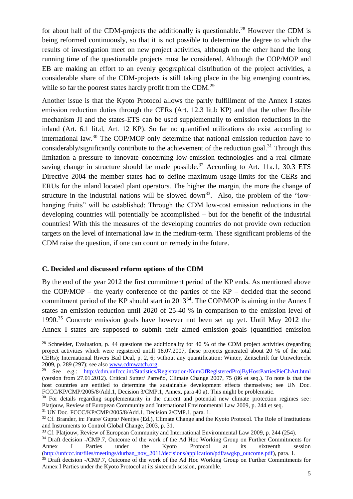for about half of the CDM-projects the additionally is questionable.<sup>28</sup> However the CDM is being reformed continuously, so that it is not possible to determine the degree to which the results of investigation meet on new project activities, although on the other hand the long running time of the questionable projects must be considered. Although the COP/MOP and EB are making an effort to an evenly geographical distribution of the project activities, a considerable share of the CDM-projects is still taking place in the big emerging countries, while so far the poorest states hardly profit from the CDM.<sup>29</sup>

Another issue is that the Kyoto Protocol allows the partly fulfillment of the Annex I states emission reduction duties through the CERs (Art. 12.3 lit.b KP) and that the other flexible mechanism JI and the states-ETS can be used supplementally to emission reductions in the inland (Art. 6.1 lit.d, Art. 12 KP). So far no quantified utilizations do exist according to international law. <sup>30</sup> The COP/MOP only determine that national emission reduction have to considerably/significantly contribute to the achievement of the reduction goal.<sup>31</sup> Through this limitation a pressure to innovate concerning low-emission technologies and a real climate saving change in structure should be made possible.<sup>32</sup> According to Art. 11a.1, 30.3 ETS Directive 2004 the member states had to define maximum usage-limits for the CERs and ERUs for the inland located plant operators. The higher the margin, the more the change of structure in the industrial nations will be slowed down<sup>33</sup>. Also, the problem of the "lowhanging fruits" will be established: Through the CDM low-cost emission reductions in the developing countries will potentially be accomplished – but for the benefit of the industrial countries! With this the measures of the developing countries do not provide own reduction targets on the level of international law in the medium-term. These significant problems of the CDM raise the question, if one can count on remedy in the future.

# **C. Decided and discussed reform options of the CDM**

 $\overline{a}$ 

By the end of the year 2012 the first commitment period of the KP ends. As mentioned above the COP/MOP – the yearly conference of the parties of the KP – decided that the second commitment period of the KP should start in 2013<sup>34</sup>. The COP/MOP is aiming in the Annex I states an emission reduction until 2020 of 25-40 % in comparison to the emission level of 1990. <sup>35</sup> Concrete emission goals have however not been set up yet. Until May 2012 the Annex I states are supposed to submit their aimed emission goals (quantified emission

<sup>&</sup>lt;sup>28</sup> Schneider, Evaluation, p. 44 questions the additionality for 40 % of the CDM project activities (regarding project activities which were registered untill 18.07.2007, these projects generated about 20 % of the total CERs); International Rivers Bad Deal, p. 2, 6; without any quantification: Winter, Zeitschrift für Umweltrecht 2009, p. 289 (297); see also [www.cdmwatch.org.](http://www.cdmwatch.org/)

<sup>29</sup> See e.g.: [http://cdm.unfccc.int/Statistics/Registration/NumOfRegisteredProjByHostPartiesPieChArt.html](http://cdm.unfccc.int/Statistics/Registration/NumOfRegisteredProjByHostPartiesPieChart.html) (version from 27.01.2012). Critical Sutter/ Parreño, Climate Change 2007, 75 (86 et seq.). To note is that the host countries are entitled to determine the sustainable development effects themselves; see UN Doc. FCCC/KP/CMP/2005/8/Add.1, Decision 3/CMP.1, Annex, para 40 a). This might be problematic.

<sup>&</sup>lt;sup>30</sup> For details regarding supplementarity in the current and potential new climate protection regimes see: Platjouw, Review of European Community and International Environmental Law 2009, p. 244 et seq.

 $31$  UN Doc. FCCC/KP/CMP/2005/8/Add.1, Decision 2/CMP.1, para. 1.

<sup>&</sup>lt;sup>32</sup> Cf. Brander, in: Faure/ Gupta/ Nenties (Ed.), Climate Change and the Kyoto Protocol. The Role of Institutions and Instruments to Control Global Change, 2003, p. 31.

<sup>&</sup>lt;sup>33</sup> Cf. Platjouw, Review of European Community and International Environmental Law 2009, p. 244 (254).

<sup>&</sup>lt;sup>34</sup> Draft decision -/CMP.7, Outcome of the work of the Ad Hoc Working Group on Further Commitments for<br>Annex I Parties under the Kvoto Protocol at its sixteenth session Annex I Parties under the Kyoto Protocol at its sixteenth session [\(http://unfccc.int/files/meetings/durban\\_nov\\_2011/decisions/application/pdf/awgkp\\_outcome.pdf\)](http://unfccc.int/files/meetings/durban_nov_2011/decisions/application/pdf/awgkp_outcome.pdf), para. 1.

<sup>35</sup> Draft decision -/CMP.7, Outcome of the work of the Ad Hoc Working Group on Further Commitments for Annex I Parties under the Kyoto Protocol at its sixteenth session, preamble.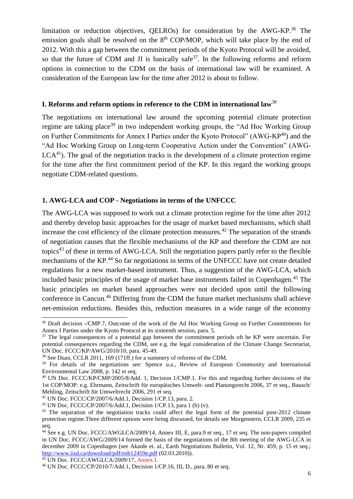limitation or reduction objectives, QELROs) for consideration by the AWG-KP.<sup>36</sup> The emission goals shall be resolved on the  $8<sup>th</sup>$  COP/MOP, which will take place by the end of 2012. With this a gap between the commitment periods of the Kyoto Protocol will be avoided, so that the future of CDM and JI is basically safe<sup>37</sup>. In the following reforms and reform options in connection to the CDM on the basis of international law will be examined. A consideration of the European law for the time after 2012 is about to follow.

#### **I. Reforms and reform options in reference to the CDM in international law**<sup>38</sup>

The negotiations on international law around the upcoming potential climate protection regime are taking place<sup>39</sup> in two independent working groups, the "Ad Hoc Working Group on Further Commitments for Annex I Parties under the Kyoto Protocol" (AWG-KP<sup>40</sup>) and the "Ad Hoc Working Group on Long-term Cooperative Action under the Convention" (AWG- $LCA<sup>41</sup>$ ). The goal of the negotiation tracks is the development of a climate protection regime for the time after the first commitment period of the KP. In this regard the working groups negotiate CDM-related questions.

### **1. AWG-LCA and COP - Negotiations in terms of the UNFCCC**

The AWG-LCA was supposed to work out a climate protection regime for the time after 2012 and thereby develop basic approaches for the usage of market based mechanisms, which shall increase the cost efficiency of the climate protection measures.<sup>42</sup> The separation of the strands of negotiation causes that the flexible mechanisms of the KP and therefore the CDM are not topics<sup>43</sup> of these in terms of AWG-LCA. Still the negotiation papers partly refer to the flexible mechanisms of the KP.<sup>44</sup> So far negotiations in terms of the UNFCCC have not create detailed regulations for a new market-based instrument. Thus, a suggestion of the AWG-LCA, which included basic principles of the usage of market base instruments failed in Copenhagen.<sup>45</sup> The basic principles on market based approaches were not decided upon until the following conference in Cancun. <sup>46</sup> Differing from the CDM the future market mechanisms shall achieve net-emission reductions. Besides this, reduction measures in a wide range of the economy

<sup>&</sup>lt;sup>36</sup> Draft decision -/CMP.7, Outcome of the work of the Ad Hoc Working Group on Further Commitments for Annex I Parties under the Kyoto Protocol at its sixteenth session, para. 5.

<sup>&</sup>lt;sup>37</sup> The legal consequences of a potential gap between the commitment periods oft he KP were uncertain. For potential consequences regarding the CDM, see e.g. the legal consideration of the Climate Change Secretariat, UN Doc. FCCC/KP/AWG/2010/10, para. 45-49.

<sup>&</sup>lt;sup>38</sup> See Duan, CCLR 2011, 169 (171ff.) for a summery of reforms of the CDM.

<sup>&</sup>lt;sup>39</sup> For details of the negotiations see: Spence u.a., Review of European Community and International Environmental Law 2008, p. 142 et seq.

<sup>40</sup> UN Doc. FCCC/KP/CMP/2005/8/Add. 1, Decision 1/CMP.1. For this and regarding further decisions of the 1st COP/MOP: e.g. Ehrmann, Zeitschrift für europäisches Umwelt- und Planungsrecht 2006, 37 et seq., Bausch/ Mehling, Zeitschrift für Umweltrecht 2006, 291 et seq.

<sup>41</sup> UN Doc. FCCC/CP/2007/6/Add.1, Decision 1/CP.13, para. 2.

<sup>&</sup>lt;sup>42</sup> UN Doc. FCCC/CP/2007/6/Add.1, Decision 1/CP.13, para 1 (b) (v).

<sup>&</sup>lt;sup>43</sup> The separation of the negotiation tracks could affect the legal form of the potential post-2012 climate protection regime.Three different options were being discussed, for details see Morgenstern, CCLR 2009, 235 et seq.

<sup>44</sup> See e.g. UN Doc. FCCC/AWGLCA/2009/14, Annex III, E, para.9 et seq., 17 et seq. The non-papers compiled in UN Doc. FCCC/AWG/2009/14 formed the basis of the negotiations of the 8th meeting of the AWG-LCA in december 2009 in Copenhagen (see Akanle et. al., Earth Negotiations Bulletin, Vol. 12, Nr. 459, p. 15 et seq.; <http://www.iisd.ca/download/pdf/enb12459e.pdf> (02.03.2010)).

<sup>45</sup> UN Doc. FCCC/AWGLCA/2009/17, Annex I.

<sup>46</sup> UN Doc. FCCC/CP/2010/7/Add.1, Decision 1/CP.16, III, D., para. 80 et seq.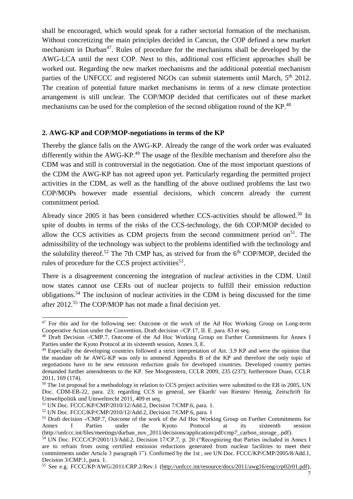shall be encouraged, which would speak for a rather sectorial formation of the mechanism. Without concretizing the main principles decided in Cancun, the COP defined a new market mechanism in Durban<sup>47</sup>. Rules of procedure for the mechanisms shall be developed by the AWG-LCA until the next COP. Next to this, additional cost efficient approaches shall be worked out. Regarding the new market mechanisms and the additional potential mechanism parties of the UNFCCC and registered NGOs can submit statements until March, 5<sup>th</sup> 2012. The creation of potential future market mechanisms in terms of a new climate protection arrangement is still unclear. The COP/MOP decided that certificates out of these market mechanisms can be used for the completion of the second obligation round of the KP.<sup>48</sup>

# **2. AWG-KP and COP/MOP-negotiations in terms of the KP**

Thereby the glance falls on the AWG-KP. Already the range of the work order was evaluated differently within the AWG-KP.<sup>49</sup> The usage of the flexible mechanism and therefore also the CDM was and still is controversial in the negotiation. One of the most important questions of the CDM the AWG-KP has not agreed upon yet. Particularly regarding the permitted project activities in the CDM, as well as the handling of the above outlined problems the last two COP/MOPs however made essential decisions, which concern already the current commitment period.

Already since 2005 it has been considered whether CCS-activities should be allowed.<sup>50</sup> In spite of doubts in terms of the risks of the CCS-technology, the 6th COP/MOP decided to allow the CCS activities as CDM projects from the second commitment period on<sup>51</sup>. The admissibility of the technology was subject to the problems identified with the technology and the solubility thereof.<sup>52</sup> The 7th CMP has, as strived for from the  $6<sup>th</sup>$  COP/MOP, decided the rules of procedure for the CCS project activities<sup>53</sup>.

There is a disagreement concerning the integration of nuclear activities in the CDM. Until now states cannot use CERs out of nuclear projects to fulfill their emission reduction obligations. <sup>54</sup> The inclusion of nuclear activities in the CDM is being discussed for the time after 2012.<sup>55</sup> The COP/MOP has not made a final decision yet.

<sup>&</sup>lt;sup>47</sup> For this and for the following see: Outcome ot the work of the Ad Hoc Working Group on Long-term Cooperative Action under the Convention, Draft decision -/CP.17, II. E. para. 83 et seq.

<sup>48</sup> Draft Decision -/CMP.7, Outcome of the Ad Hoc Working Group on Further Commitments for Annex I Parties under the Kyoto Protocol at its sixteenth session, Annex 3, E.

<sup>&</sup>lt;sup>49</sup> Especially the developing countries followed a strict interpretation of Art. 3.9 KP and were the opinion that the mandate oft he AWG-KP was only to ammend Appendix B of the KP and therefore the only topic of negotiations have to be new emission reduction goals for developed countries. Developed country parties demanded further amendments to the KP. See Morgenstern, CCLR 2009, 235 (237); furthermore Duan, CCLR 2011, 169 (174).

<sup>&</sup>lt;sup>50</sup> The 1st proposal for a methodology in relation to CCS project activities were submitted to the EB in 2005, UN Doc. CDM-EB-22, para. 23; regarding CCS in general, see Ekardt/ van Riesten/ Hennig, Zeitschrift für Umweltpolitik und Umweltrecht 2011, 409 et seq.

<sup>51</sup> UN Doc. FCCC/KP/CMP/2010/12/Add.2, Decision 7/CMP.6, para. 1.

<sup>52</sup> UN Doc. FCCC/KP/CMP/2010/12/Add.2, Decision 7/CMP.6, para. 1

<sup>53</sup> Draft decision -/CMP.7, Outcome of the work of the Ad Hoc Working Group on Further Commitments for Annex I Parties under the Kyoto Protocol at its sixteenth session (http://unfccc.int/files/meetings/durban\_nov\_2011/decisions/application/pdf/cmp7\_carbon\_storage\_.pdf).

<sup>54</sup> UN Doc. FCCC/CP/2001/13/Add.2, Decision 17/CP.7, p. 20 ("Recognizing that Parties included in Annex I are to refrain from using certified emission reductions generated from nuclear facilities to meet their commitments under Article 3 paragraph 1"). Confirmed by the 1st , see UN Doc. FCCC/KP/CMP/2005/8/Add.1, Decision 3/CMP.1, para. 1.

<sup>55</sup> See e.g. FCCC/KP/AWG/2011/CRP.2/Rev.1 [\(http://unfccc.int/resource/docs/2011/awg16/eng/crp02r01.pdf\)](http://unfccc.int/resource/docs/2011/awg16/eng/crp02r01.pdf),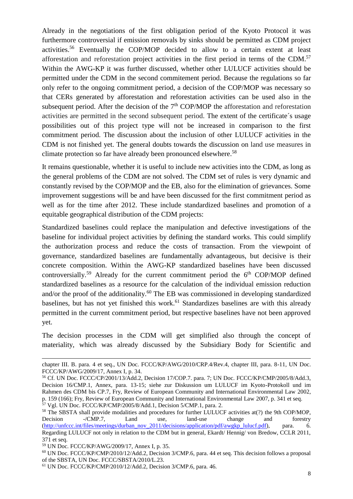Already in the negotiations of the first obligation period of the Kyoto Protocol it was furthermore controversial if emission removals by sinks should be permitted as CDM project activities.<sup>56</sup> Eventually the COP/MOP decided to allow to a certain extent at least afforestation and reforestation project activities in the first period in terms of the CDM.<sup>57</sup> Within the AWG-KP it was further discussed, whether other LULUCF activities should be permitted under the CDM in the second commitement period. Because the regulations so far only refer to the ongoing commitment period, a decision of the COP/MOP was necessary so that CERs generated by afforestation and reforestation activities can be used also in the subsequent period. After the decision of the  $7<sup>th</sup>$  COP/MOP the afforestation and reforestation activities are permitted in the second subsequent period. The extent of the certificate´s usage possibilities out of this project type will not be increased in comparison to the first commitment period. The discussion about the inclusion of other LULUCF activities in the CDM is not finished yet. The general doubts towards the discussion on land use measures in climate protection so far have already been pronounced elsewhere.<sup>58</sup>

It remains questionable, whether it is useful to include new activities into the CDM, as long as the general problems of the CDM are not solved. The CDM set of rules is very dynamic and constantly revised by the COP/MOP and the EB, also for the elimination of grievances. Some improvement suggestions will be and have been discussed for the first commitment period as well as for the time after 2012. These include standardized baselines and promotion of a equitable geographical distribution of the CDM projects:

Standardized baselines could replace the manipulation and defective investigations of the baseline for individual project activities by defining the standard works. This could simplify the authorization process and reduce the costs of transaction. From the viewpoint of governance, standardized baselines are fundamentally advantageous, but decisive is their concrete composition. Within the AWG-KP standardized baselines have been discussed controversially.<sup>59</sup> Already for the current commitment period the  $6<sup>th</sup>$  COP/MOP defined standardized baselines as a resource for the calculation of the individual emission reduction and/or the proof of the additionality.<sup>60</sup> The EB was commissioned in developing standardized baselines, but has not yet finished this work.<sup>61</sup> Standardizes baselines are with this already permitted in the current commitment period, but respective baselines have not been approved yet.

The decision processes in the CDM will get simplified also through the concept of materiality, which was already discussed by the Subsidiary Body for Scientific and

chapter III. B. para. 4 et seq., UN Doc. FCCC/KP/AWG/2010/CRP.4/Rev.4, chapter III, para. 8-11, UN Doc. FCCC/KP/AWG/2009/17, Annex I, p. 34.

<sup>56</sup> Cf. UN Doc. FCCC/CP/2001/13/Add.2, Decision 17/COP.7. para. 7; UN Doc. FCCC/KP/CMP/2005/8/Add.3, Decision 16/CMP.1, Annex, para. 13-15; siehe zur Diskussion um LULUCF im Kyoto-Protokoll und im Rahmen des CDM bis CP.7, Fry, Review of European Community and International Environmental Law 2002, p. 159 (166); Fry, Review of European Community and International Environmental Law 2007, p. 341 et seq.  $57$  Vgl. UN Doc. FCCC/KP/CMP/2005/8/Add.1, Decision 5/CMP.1, para. 2.

<sup>&</sup>lt;sup>58</sup> The SBSTA shall provide modalities and procedures for further LULUCF activities at(?) the 9th COP/MOP, Decision -/CMP.7, Land use, land-use change and forestry [\(http://unfccc.int/files/meetings/durban\\_nov\\_2011/decisions/application/pdf/awgkp\\_lulucf.pdf\)](http://unfccc.int/files/meetings/durban_nov_2011/decisions/application/pdf/awgkp_lulucf.pdf), para. 6. Regarding LULUCF not only in relation to the CDM but in general, Ekardt/ Hennig/ von Bredow, CCLR 2011, 371 et seq.

<sup>59</sup> UN Doc. FCCC/KP/AWG/2009/17, Annex I, p. 35.

<sup>60</sup> UN Doc. FCCC/KP/CMP/2010/12/Add.2, Decision 3/CMP.6, para. 44 et seq. This decision follows a proposal of the SBSTA, UN Doc. FCCC/SBSTA/2010/L.23.

<sup>61</sup> UN Doc. FCCC/KP/CMP/2010/12/Add.2, Decision 3/CMP.6, para. 46.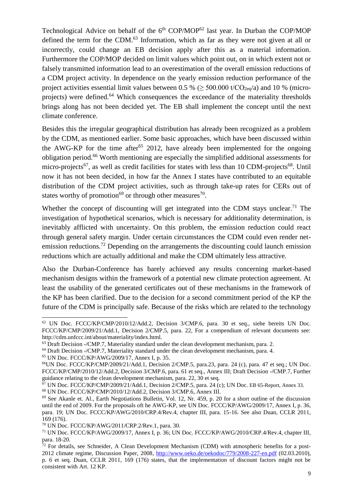Technological Advice on behalf of the 6<sup>th</sup> COP/MOP<sup>62</sup> last year. In Durban the COP/MOP defined the term for the CDM.<sup>63</sup> Information, which as far as they were not given at all or incorrectly, could change an EB decision apply after this as a material information. Furthermore the COP/MOP decided on limit values which point out, on in which extent not or falsely transmitted information lead to an overestimation of the overall emission reductions of a CDM project activity. In dependence on the yearly emission reduction performance of the project activities essential limit values between 0.5 % ( $\geq$  500.000 t/CO<sub>2eq</sub>/a) and 10 % (microprojects) were defined.<sup>64</sup> Which consequences the exceedance of the materiality thresholds brings along has not been decided yet. The EB shall implement the concept until the next climate conference.

Besides this the irregular geographical distribution has already been recognized as a problem by the CDM, as mentioned earlier. Some basic approaches, which have been discussed within the AWG-KP for the time after<sup>65</sup> 2012, have already been implemented for the ongoing obligation period.<sup>66</sup> Worth mentioning are especially the simplified additional assessments for micro-projects<sup>67</sup>, as well as credit facilities for states with less than 10 CDM-projects<sup>68</sup>. Until now it has not been decided, in how far the Annex I states have contributed to an equitable distribution of the CDM project activities, such as through take-up rates for CERs out of states worthy of promotion<sup>69</sup> or through other measures<sup>70</sup>.

Whether the concept of discounting will get integrated into the CDM stays unclear.<sup>71</sup> The investigation of hypothetical scenarios, which is necessary for additionality determination, is inevitably afflicted with uncertainty. On this problem, the emission reduction could react through general safety margin. Under certain circumstances the CDM could even render netemission reductions.<sup>72</sup> Depending on the arrangements the discounting could launch emission reductions which are actually additional and make the CDM ultimately less attractive.

Also the Durban-Conference has barely achieved any results concerning market-based mechanism designs within the framework of a potential new climate protection agreement. At least the usability of the generated certificates out of these mechanisms in the framework of the KP has been clarified. Due to the decision for a second commitment period of the KP the future of the CDM is principally safe. Because of the risks which are related to the technology

<sup>62</sup> UN Doc. FCCC/KP/CMP/2010/12/Add.2, Decision 3/CMP.6, para. 30 et seq., siehe bereits UN Doc. FCCC/KP/CMP/2009/21/Add.1, Decision 2/CMP.5, para. 22, For a compendium of relevant documents see: http://cdm.unfccc.int/about/materiality/index.html.

 $63$  Draft Decision -/CMP.7, Materiality standard under the clean development mechanism, para. 2.

<sup>64</sup> Draft Decision -/CMP.7, Materiality standard under the clean development mechanism, para. 4.

<sup>65</sup> UN Doc. FCCC/KP/AWG/2009/17, Annex I, p. 35.

<sup>66</sup>UN Doc. FCCC/KP/CMP/2009/21/Add.1, Decision 2/CMP.5, para.23, para. 24 (c), para. 47 et seq.; UN Doc. FCCC/KP/CMP/2010/12/Add.2, Decision 3/CMP.6, para. 61 et seq., Annex III; Draft Decision -/CMP.7, Further guidance relating to the clean development mechanism, para. 22, 30 et seq.

<sup>67</sup> UN Doc. FCCC/KP/CMP/2009/21/Add.1, Decision 2/CMP.5, para. 24 (c); UN Doc. EB 65-Report, Annex 33.

<sup>68</sup> UN Doc. FCCC/KP/CMP/2010/12/Add.2, Decision 3/CMP.6, Annex III.

<sup>&</sup>lt;sup>69</sup> See Akanle et. Al., Earth Negotiations Bulletin, Vol. 12, Nr. 459, p. 20 for a short outline of the discussion until the end of 2009. For the proposals oft he AWG-KP, see UN Doc. FCCC/KP/AWG/2009/17, Annex I, p. 36, para. 19; UN Doc. FCCC/KP/AWG/2010/CRP.4/Rev.4, chapter III, para. 15-16. See also Duan, CCLR 2011, 169 (176).

<sup>70</sup> UN Doc. FCCC/KP/AWG/2011/CRP.2/Rev.1, para. 30.

<sup>71</sup> UN Doc. FCCC/KP/AWG/2009/17, Annex I, p. 36; UN Doc. FCCC/KP/AWG/2010/CRP.4/Rev.4, chapter III, para. 18-20.

 $72$  For details, see Schneider, A Clean Development Mechanism (CDM) with atmospheric benefits for a post-2012 climate regime, Discussion Paper, 2008,<http://www.oeko.de/oekodoc/779/2008-227-en.pdf> (02.03.2010), p. 6 et seq. Duan, CCLR 2011, 169 (176) states, that the implementation of discount factors might not be consistent with Art. 12 KP.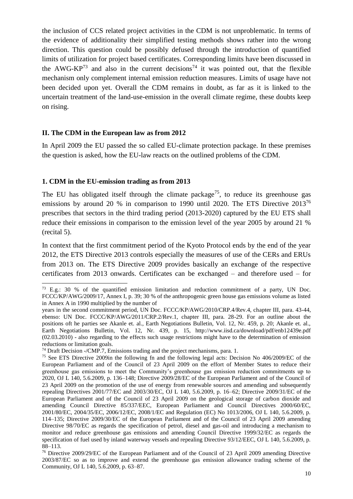the inclusion of CCS related project activities in the CDM is not unproblematic. In terms of the evidence of additionality their simplified testing methods shows rather into the wrong direction. This question could be possibly defused through the introduction of quantified limits of utilization for project based certificates. Corresponding limits have been discussed in the AWG-KP<sup>73</sup> and also in the current decisions<sup>74</sup> it was pointed out, that the flexible mechanism only complement internal emission reduction measures. Limits of usage have not been decided upon yet. Overall the CDM remains in doubt, as far as it is linked to the uncertain treatment of the land-use-emission in the overall climate regime, these doubts keep on rising.

#### **II. The CDM in the European law as from 2012**

In April 2009 the EU passed the so called EU-climate protection package. In these premises the question is asked, how the EU-law reacts on the outlined problems of the CDM.

#### **1. CDM in the EU-emission trading as from 2013**

 $\overline{a}$ 

The EU has obligated itself through the climate package<sup>75</sup>, to reduce its greenhouse gas emissions by around 20 % in comparison to 1990 until 2020. The ETS Directive 2013<sup>76</sup> prescribes that sectors in the third trading period (2013-2020) captured by the EU ETS shall reduce their emissions in comparison to the emission level of the year 2005 by around 21 % (recital 5).

In context that the first commitment period of the Kyoto Protocol ends by the end of the year 2012, the ETS Directive 2013 controls especially the measures of use of the CERs and ERUs from 2013 on. The ETS Directive 2009 provides basically an exchange of the respective certificates from 2013 onwards. Certificates can be exchanged – and therefore used – for

<sup>73</sup> E.g.: 30 % of the quantified emission limitation and reduction commitment of a party, UN Doc. FCCC/KP/AWG/2009/17, Annex I, p. 39; 30 % of the anthropogenic green house gas emissions volume as listed in Annex A in 1990 multiplied by the number of

years in the second commitment period, UN Doc. FCCC/KP/AWG/2010/CRP.4/Rev.4, chapter III, para. 43-44, ebenso: UN Doc. FCCC/KP/AWG/2011/CRP.2/Rev.1, chapter III, para. 28-29. For an outline about the positions oft he parties see Akanle et. al., Earth Negotiations Bulletin, Vol. 12, Nr. 459, p. 20; Akanle et. al., Earth Negotiations Bulletin, Vol. 12, Nr. 439, p. 15, http://www.iisd.ca/download/pdf/enb12439e.pdf (02.03.2010) - also regarding to the effects such usage restrictions might have to the determination of emission reductions or limitation goals.

<sup>74</sup> Draft Decision -/CMP.7, Emissions trading and the project mechanisms, para. 1.

<sup>75</sup> See ETS Directive 2009in the following fn and the following legal acts: Decision No 406/2009/EC of the European Parliament and of the Council of 23 April 2009 on the effort of Member States to reduce their greenhouse gas emissions to meet the Community's greenhouse gas emission reduction commitments up to 2020, OJ L 140, 5.6.2009, p. 136–148; Directive 2009/28/EC of the European Parliament and of the Council of 23 April 2009 on the promotion of the use of energy from renewable sources and amending and subsequently repealing Directives 2001/77/EC and 2003/30/EC, OJ L 140, 5.6.2009, p. 16–62; Directive 2009/31/EC of the European Parliament and of the Council of 23 April 2009 on the geological storage of carbon dioxide and amending Council Directive 85/337/EEC, European Parliament and Council Directives 2000/60/EC, 2001/80/EC, 2004/35/EC, 2006/12/EC, 2008/1/EC and Regulation (EC) No 1013/2006, OJ L 140, 5.6.2009, p. 114–135; Directive 2009/30/EC of the European Parliament and of the Council of 23 April 2009 amending Directive 98/70/EC as regards the specification of petrol, diesel and gas-oil and introducing a mechanism to monitor and reduce greenhouse gas emissions and amending Council Directive 1999/32/EC as regards the specification of fuel used by inland waterway vessels and repealing Directive 93/12/EEC, OJ L 140, 5.6.2009, p. 88–113.

<sup>76</sup> Directive 2009/29/EC of the European Parliament and of the Council of 23 April 2009 amending Directive 2003/87/EC so as to improve and extend the greenhouse gas emission allowance trading scheme of the Community, OJ L 140, 5.6.2009, p. 63–87.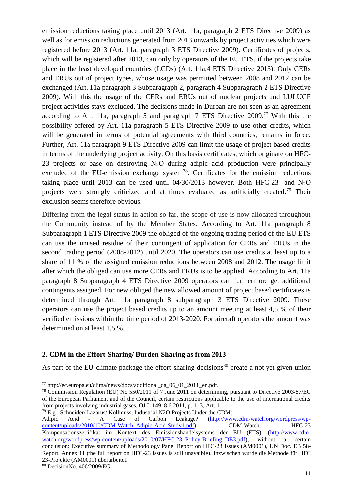emission reductions taking place until 2013 (Art. 11a, paragraph 2 ETS Directive 2009) as well as for emission reductions generated from 2013 onwards by project activities which were registered before 2013 (Art. 11a, paragraph 3 ETS Directive 2009). Certificates of projects, which will be registered after 2013, can only by operators of the EU ETS, if the projects take place in the least developed countries (LCDs) (Art. 11a.4 ETS Directive 2013). Only CERs and ERUs out of project types, whose usage was permitted between 2008 and 2012 can be exchanged (Art. 11a paragraph 3 Subparagraph 2, paragraph 4 Subparagraph 2 ETS Directive 2009). With this the usage of the CERs and ERUs out of nuclear projects und LULUCF project activities stays excluded. The decisions made in Durban are not seen as an agreement according to Art. 11a, paragraph 5 and paragraph 7 ETS Directive  $2009$ <sup>77</sup> With this the possibility offered by Art. 11a paragraph 5 ETS Directive 2009 to use other credits, which will be generated in terms of potential agreements with third countries, remains in force. Further, Art. 11a paragraph 9 ETS Directive 2009 can limit the usage of project based credits in terms of the underlying project activity. On this basis certificates, which originate on HFC-23 projects or base on destroying N2O during adipic acid production were principally excluded of the EU-emission exchange system<sup>78</sup>. Certificates for the emission reductions taking place until 2013 can be used until  $04/30/2013$  however. Both HFC-23- and N<sub>2</sub>O projects were strongly criticized and at times evaluated as artificially created.<sup>79</sup> Their exclusion seems therefore obvious.

Differing from the legal status in action so far, the scope of use is now allocated throughout the Community instead of by the Member States. According to Art. 11a paragraph 8 Subparagraph 1 ETS Directive 2009 the obliged of the ongoing trading period of the EU ETS can use the unused residue of their contingent of application for CERs and ERUs in the second trading period (2008-2012) until 2020. The operators can use credits at least up to a share of 11 % of the assigned emission reductions between 2008 and 2012. The usage limit after which the obliged can use more CERs and ERUs is to be applied. According to Art. 11a paragraph 8 Subparagraph 4 ETS Directive 2009 operators can furthermore get additional contingents assigned. For new obliged the new allowed amount of project based certificates is determined through Art. 11a paragraph 8 subparagraph 3 ETS Directive 2009. These operators can use the project based credits up to an amount meeting at least 4,5 % of their verified emissions within the time period of 2013-2020. For aircraft operators the amount was determined on at least 1,5 %.

# **2. CDM in the Effort-Sharing/ Burden-Sharing as from 2013**

As part of the EU-climate package the effort-sharing-decisions<sup>80</sup> create a not yet given union

<sup>77</sup> http://ec.europa.eu/clima/news/docs/additional\_qa\_06\_01\_2011\_en.pdf.

<sup>78</sup> Commission Regulation (EU) No 550/2011 of 7 June 2011 on determining, pursuant to Directive 2003/87/EC of the European Parliament and of the Council, certain restrictions applicable to the use of international credits from projects involving industrial gases, OJ L 149, 8.6.2011, p. 1–3, Art. 1

<sup>79</sup> E.g.: Schneider/ Lazarus/ Kollmuss, Industrial N2O Projects Under the CDM:

Adipic Acid - A Case of Carbon Leakage? [\(http://www.cdm-watch.org/wordpress/wp](http://www.cdm-watch.org/wordpress/wp-content/uploads/2010/10/CDM-Watch_Adipic-Acid-Study1.pdf)[content/uploads/2010/10/CDM-Watch\\_Adipic-Acid-Study1.pdf\)](http://www.cdm-watch.org/wordpress/wp-content/uploads/2010/10/CDM-Watch_Adipic-Acid-Study1.pdf); CDM-Watch, HFC-23 Kompensationszertifikat im Kontext des Emissionshandelsystems der EU (ETS), [\(http://www.cdm](http://www.cdm-watch.org/wordpress/wp-content/uploads/2010/07/HFC-23_Policy-Briefing_DE3.pdf)[watch.org/wordpress/wp-content/uploads/2010/07/HFC-23\\_Policy-Briefing\\_DE3.pdf\)](http://www.cdm-watch.org/wordpress/wp-content/uploads/2010/07/HFC-23_Policy-Briefing_DE3.pdf); without a certain conclusion: Executive summary of Methodology Panel Report on HFC-23 Issues (AM0001), UN Doc. EB 58- Report, Annex 11 (the full report on HFC-23 issues is still unavaible). Inzwischen wurde die Methode für HFC 23-Projekte (AM0001) überarbeitet.

<sup>80</sup> DecisionNo. 406/2009/EG.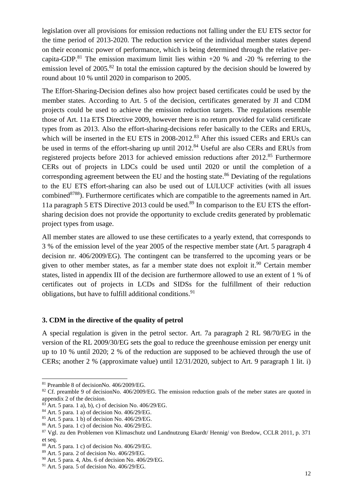legislation over all provisions for emission reductions not falling under the EU ETS sector for the time period of 2013-2020. The reduction service of the individual member states depend on their economic power of performance, which is being determined through the relative percapita-GDP.<sup>81</sup> The emission maximum limit lies within  $+20$  % and  $-20$  % referring to the emission level of 2005.<sup>82</sup> In total the emission captured by the decision should be lowered by round about 10 % until 2020 in comparison to 2005.

The Effort-Sharing-Decision defines also how project based certificates could be used by the member states. According to Art. 5 of the decision, certificates generated by JI and CDM projects could be used to achieve the emission reduction targets. The regulations resemble those of Art. 11a ETS Directive 2009, however there is no return provided for valid certificate types from as 2013. Also the effort-sharing-decisions refer basically to the CERs and ERUs, which will be inserted in the EU ETS in 2008-2012.<sup>83</sup> After this issued CERs and ERUs can be used in terms of the effort-sharing up until 2012.<sup>84</sup> Useful are also CERs and ERUs from registered projects before 2013 for achieved emission reductions after 2012.<sup>85</sup> Furthermore CERs out of projects in LDCs could be used until 2020 or until the completion of a corresponding agreement between the EU and the hosting state. <sup>86</sup> Deviating of the regulations to the EU ETS effort-sharing can also be used out of LULUCF activities (with all issues combined<sup>8788</sup>). Furthermore certificates which are compatible to the agreements named in Art. 11a paragraph 5 ETS Directive 2013 could be used.<sup>89</sup> In comparison to the EU ETS the effortsharing decision does not provide the opportunity to exclude credits generated by problematic project types from usage.

All member states are allowed to use these certificates to a yearly extend, that corresponds to 3 % of the emission level of the year 2005 of the respective member state (Art. 5 paragraph 4 decision nr. 406/2009/EG). The contingent can be transferred to the upcoming years or be given to other member states, as far a member state does not exploit it. <sup>90</sup> Certain member states, listed in appendix III of the decision are furthermore allowed to use an extent of 1 % of certificates out of projects in LCDs and SIDSs for the fulfillment of their reduction obligations, but have to fulfill additional conditions.<sup>91</sup>

# **3. CDM in the directive of the quality of petrol**

A special regulation is given in the petrol sector. Art. 7a paragraph 2 RL 98/70/EG in the version of the RL 2009/30/EG sets the goal to reduce the greenhouse emission per energy unit up to 10 % until 2020; 2 % of the reduction are supposed to be achieved through the use of CERs; another 2 % (approximate value) until 12/31/2020, subject to Art. 9 paragraph 1 lit. i)

<sup>81</sup> Preamble 8 of decisionNo. 406/2009/EG.

<sup>&</sup>lt;sup>82</sup> Cf. preamble 9 of decisionNo. 406/2009/EG. The emission reduction goals of the meber states are quoted in appendix 2 of the decision.

 $83$  Art. 5 para. 1 a), b), c) of decision No. 406/29/EG.

<sup>84</sup> Art. 5 para. 1 a) of decision No. 406/29/EG.

<sup>85</sup> Art. 5 para. 1 b) of decision No. 406/29/EG.

<sup>86</sup> Art. 5 para. 1 c) of decision No. 406/29/EG.

<sup>87</sup> Vgl. zu den Problemen von Klimaschutz und Landnutzung Ekardt/ Hennig/ von Bredow, CCLR 2011, p. 371 et seq.

 $88$  Art. 5 para. 1 c) of decision No. 406/29/EG.

<sup>89</sup> Art. 5 para. 2 of decision No. 406/29/EG.

<sup>90</sup> Art. 5 para. 4, Abs. 6 of decision No. 406/29/EG.

 $91$  Art. 5 para. 5 of decision No. 406/29/EG.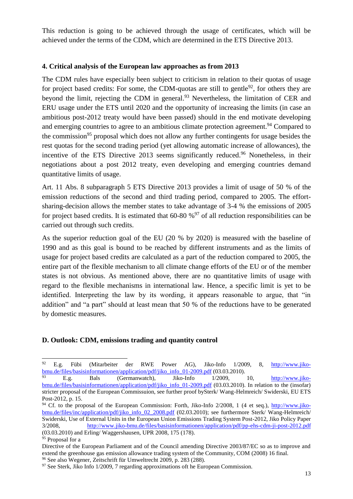This reduction is going to be achieved through the usage of certificates, which will be achieved under the terms of the CDM, which are determined in the ETS Directive 2013.

## **4. Critical analysis of the European law approaches as from 2013**

The CDM rules have especially been subject to criticism in relation to their quotas of usage for project based credits: For some, the CDM-quotas are still to gentle<sup>92</sup>, for others they are beyond the limit, rejecting the CDM in general.<sup>93</sup> Nevertheless, the limitation of CER and ERU usage under the ETS until 2020 and the opportunity of increasing the limits (in case an ambitious post-2012 treaty would have been passed) should in the end motivate developing and emerging countries to agree to an ambitious climate protection agreement.<sup>94</sup> Compared to the commission<sup>95</sup> proposal which does not allow any further contingents for usage besides the rest quotas for the second trading period (yet allowing automatic increase of allowances), the incentive of the ETS Directive 2013 seems significantly reduced.<sup>96</sup> Nonetheless, in their negotiations about a post 2012 treaty, even developing and emerging countries demand quantitative limits of usage.

Art. 11 Abs. 8 subparagraph 5 ETS Directive 2013 provides a limit of usage of 50 % of the emission reductions of the second and third trading period, compared to 2005. The effortsharing-decision allows the member states to take advantage of 3-4 % the emissions of 2005 for project based credits. It is estimated that  $60-80\%$ <sup>97</sup> of all reduction responsibilities can be carried out through such credits.

As the superior reduction goal of the EU (20 % by 2020) is measured with the baseline of 1990 and as this goal is bound to be reached by different instruments and as the limits of usage for project based credits are calculated as a part of the reduction compared to 2005, the entire part of the flexible mechanism to all climate change efforts of the EU or of the member states is not obvious. As mentioned above, there are no quantitative limits of usage with regard to the flexible mechanisms in international law. Hence, a specific limit is yet to be identified. Interpreting the law by its wording, it appears reasonable to argue, that "in addition" and "a part" should at least mean that 50 % of the reductions have to be generated by domestic measures.

# **D. Outlook: CDM, emissions trading and quantity control**

<sup>92</sup> <sup>92</sup> E.g. Fübi (Mitarbeiter der RWE Power AG), Jiko-Info 1/2009, 8, [http://www.jiko](http://www.jiko-bmu.de/files/basisinformationen/application/pdf/jiko_info_01-2009.pdf)[bmu.de/files/basisinformationen/application/pdf/jiko\\_info\\_01-2009.pdf](http://www.jiko-bmu.de/files/basisinformationen/application/pdf/jiko_info_01-2009.pdf) (03.03.2010).

E.g. Bals (Germanwatch), Jiko-Info 1/2009, 10, [http://www.jiko](http://www.jiko-bmu.de/files/basisinformationen/application/pdf/jiko_info_01-2009.pdf)[bmu.de/files/basisinformationen/application/pdf/jiko\\_info\\_01-2009.pdf](http://www.jiko-bmu.de/files/basisinformationen/application/pdf/jiko_info_01-2009.pdf) (03.03.2010). In relation to the (insofar) stricter proposal of the European Commissuion, see further proof bySterk/ Wang-Helmreich/ Swiderski, EU ETS Post-2012, p. 15.

<sup>94</sup> Cf. to the proposal of the European Commission: Forth, Jiko-Info 2/2008, 1 (4 et seq.), [http://www.jiko](http://www.jiko-bmu.de/files/inc/application/pdf/jiko_info_02_2008.pdf)[bmu.de/files/inc/application/pdf/jiko\\_info\\_02\\_2008.pdf](http://www.jiko-bmu.de/files/inc/application/pdf/jiko_info_02_2008.pdf) (02.03.2010); see furthermore Sterk/ Wang-Helmreich/ Swiderski, Use of External Units in the European Union Emissions Trading System Post-2012, Jiko Policy Paper 3/2008, <http://www.jiko-bmu.de/files/basisinformationen/application/pdf/pp-ehs-cdm-ji-post-2012.pdf> (03.03.2010) and Erling/ Waggershausen, UPR 2008, 175 (178).

<sup>&</sup>lt;sup>95</sup> Proposal for a

Directive of the European Parliament and of the Council amending Directive 2003/87/EC so as to improve and extend the greenhouse gas emission allowance trading system of the Community, COM (2008) 16 final.

<sup>96</sup> See also Wegener, Zeitschrift für Umweltrecht 2009, p. 283 (288).

<sup>&</sup>lt;sup>97</sup> See Sterk, Jiko Info 1/2009, 7 regarding approximations oft he European Commission.